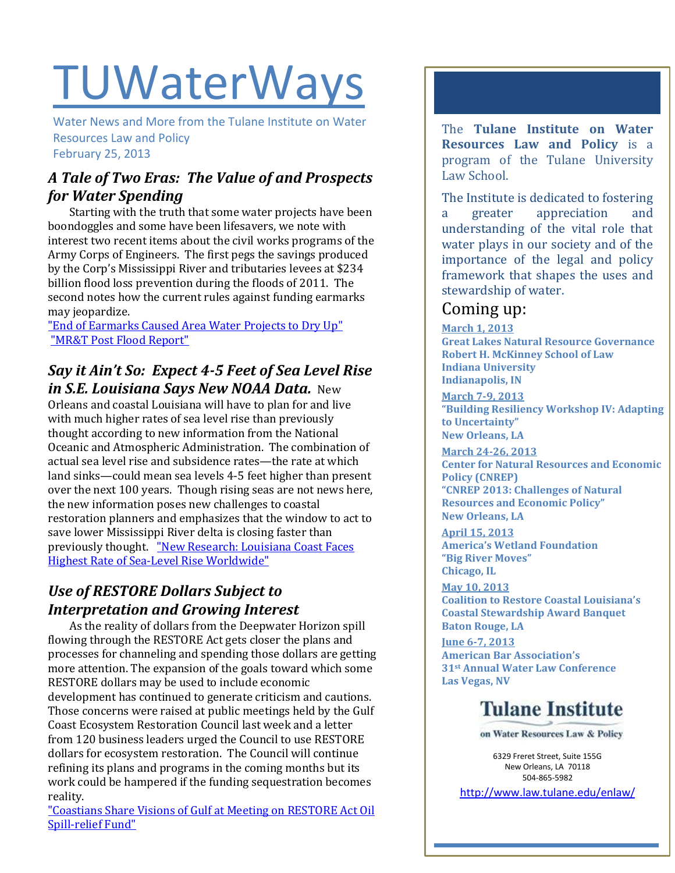# **TUWaterWays**

Water News and More from the Tulane Institute on Water Resources Law and Policy February 25, 2013

#### *A Tale of Two Eras: The Value of and Prospects for Water Spending*

 Starting with the truth that some water projects have been boondoggles and some have been lifesavers, we note with interest two recent items about the civil works programs of the Army Corps of Engineers. The first pegs the savings produced by the Corp's Mississippi River and tributaries levees at \$234 billion flood loss prevention during the floods of 2011. The second notes how the current rules against funding earmarks may jeopardize.

["End of Earmarks Caused Area Water Projects to Dry Up"](http://www.stltoday.com/news/local/govt-and-politics/political-fix/congress-and-corps-of-engineers-struggle-to-chart-water-work/article_fa566a9e-6d10-5f9a-919d-212abe0a82b8.html) ["MR&T Post Flood Report"](http://www.mvd.usace.army.mil/Missions/FloodRiskManagement/RegionalFloodRiskManagementProgram/MRTPostFloodReport.aspx)

#### *Say it Ain't So: Expect 4-5 Feet of Sea Level Rise in S.E. Louisiana Says New NOAA Data.* New

Orleans and coastal Louisiana will have to plan for and live with much higher rates of sea level rise than previously thought according to new information from the National Oceanic and Atmospheric Administration. The combination of actual sea level rise and subsidence rates—the rate at which land sinks—could mean sea levels 4-5 feet higher than present over the next 100 years. Though rising seas are not news here, the new information poses new challenges to coastal restoration planners and emphasizes that the window to act to save lower Mississippi River delta is closing faster than previously thought. ["New Research: Louisiana Coast Faces](http://thelensnola.org/2013/02/21/new-research-louisiana-coast-faces-highest-rate-of-sea-level-rise-on-the-planet/)  [Highest Rate of Sea-Level Rise Worldwide"](http://thelensnola.org/2013/02/21/new-research-louisiana-coast-faces-highest-rate-of-sea-level-rise-on-the-planet/)

### *Use of RESTORE Dollars Subject to Interpretation and Growing Interest*

As the reality of dollars from the Deepwater Horizon spill flowing through the RESTORE Act gets closer the plans and processes for channeling and spending those dollars are getting more attention. The expansion of the goals toward which some RESTORE dollars may be used to include economic development has continued to generate criticism and cautions. Those concerns were raised at public meetings held by the Gulf Coast Ecosystem Restoration Council last week and a letter from 120 business leaders urged the Council to use RESTORE dollars for ecosystem restoration. The Council will continue refining its plans and programs in the coming months but its work could be hampered if the funding sequestration becomes reality.

["Coastians Share Visions of Gulf at Meeting on RESTORE Act Oil](http://www.sunherald.com/2013/02/19/4478232/more-than-250-attend-meeting-on.html)  [Spill-relief Fund"](http://www.sunherald.com/2013/02/19/4478232/more-than-250-attend-meeting-on.html)

The **Tulane Institute on Water Resources Law and Policy** is a program of the Tulane University Law School.

The Institute is dedicated to fostering a greater appreciation and understanding of the vital role that water plays in our society and of the importance of the legal and policy framework that shapes the uses and stewardship of water.

# Coming up:

**March 1, 2013 Great Lakes Natural Resource Governance Robert H. McKinney School of Law Indiana University Indianapolis, IN**

**March 7-9, 2013 "Building Resiliency Workshop IV: Adapting to Uncertainty" New Orleans, LA** 

**March 24-26, 2013 Center for Natural Resources and Economic Policy (CNREP) "CNREP 2013: Challenges of Natural Resources and Economic Policy" New Orleans, LA**

**April 15, 2013 America's Wetland Foundation "Big River Moves" Chicago, IL**

**May 10, 2013 Coalition to Restore Coastal Louisiana's Coastal Stewardship Award Banquet Baton Rouge, LA**

**June 6-7, 2013 American Bar Association's 31st Annual Water Law Conference Las Vegas, NV**

# **Tulane Institute**

on Water Resources Law & Policy

6329 Freret Street, Suite 155G New Orleans, LA 70118 504-865-5982 <http://www.law.tulane.edu/enlaw/>